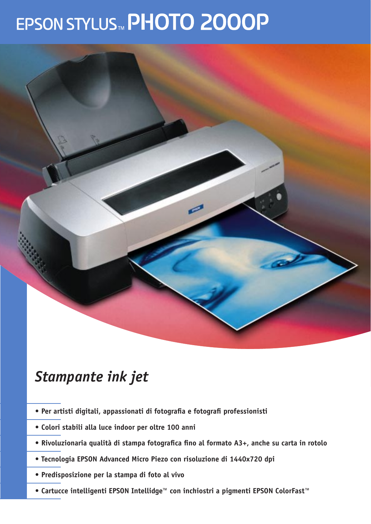# EPSON STYLUS MPHOTO 2000P



## *Stampante ink jet*

- **Per artisti digitali, appassionati di fotografia e fotografi professionisti**
- **Colori stabili alla luce indoor per oltre 100 anni**
- **Rivoluzionaria qualità di stampa fotografica fino al formato A3+, anche su carta in rotolo**
- **Tecnologia EPSON Advanced Micro Piezo con risoluzione di 1440x720 dpi**
- **Predisposizione per la stampa di foto al vivo**
- **Cartucce intelligenti EPSON Intellidge™ con inchiostri a pigmenti EPSON ColorFast™**